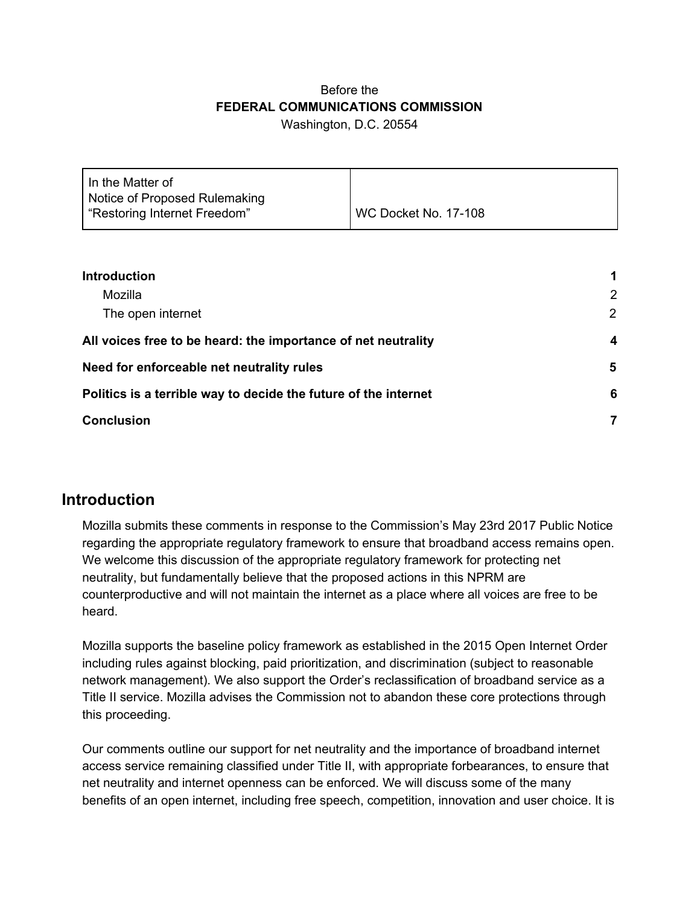#### Before the **FEDERAL COMMUNICATIONS COMMISSION** Washington, D.C. 20554

| WC Docket No. 17-108 |
|----------------------|
|                      |

| <b>Introduction</b><br>Mozilla<br>The open internet             | 1      |
|-----------------------------------------------------------------|--------|
|                                                                 | 2<br>2 |
|                                                                 |        |
| Need for enforceable net neutrality rules                       | 5      |
| Politics is a terrible way to decide the future of the internet | 6      |
| <b>Conclusion</b>                                               |        |

#### <span id="page-0-0"></span>**Introduction**

Mozilla submits these comments in response to the Commission's May 23rd 2017 Public Notice regarding the appropriate regulatory framework to ensure that broadband access remains open. We welcome this discussion of the appropriate regulatory framework for protecting net neutrality, but fundamentally believe that the proposed actions in this NPRM are counterproductive and will not maintain the internet as a place where all voices are free to be heard.

Mozilla supports the baseline policy framework as established in the 2015 Open Internet Order including rules against blocking, paid prioritization, and discrimination (subject to reasonable network management). We also support the Order's reclassification of broadband service as a Title II service. Mozilla advises the Commission not to abandon these core protections through this proceeding.

Our comments outline our support for net neutrality and the importance of broadband internet access service remaining classified under Title II, with appropriate forbearances, to ensure that net neutrality and internet openness can be enforced. We will discuss some of the many benefits of an open internet, including free speech, competition, innovation and user choice. It is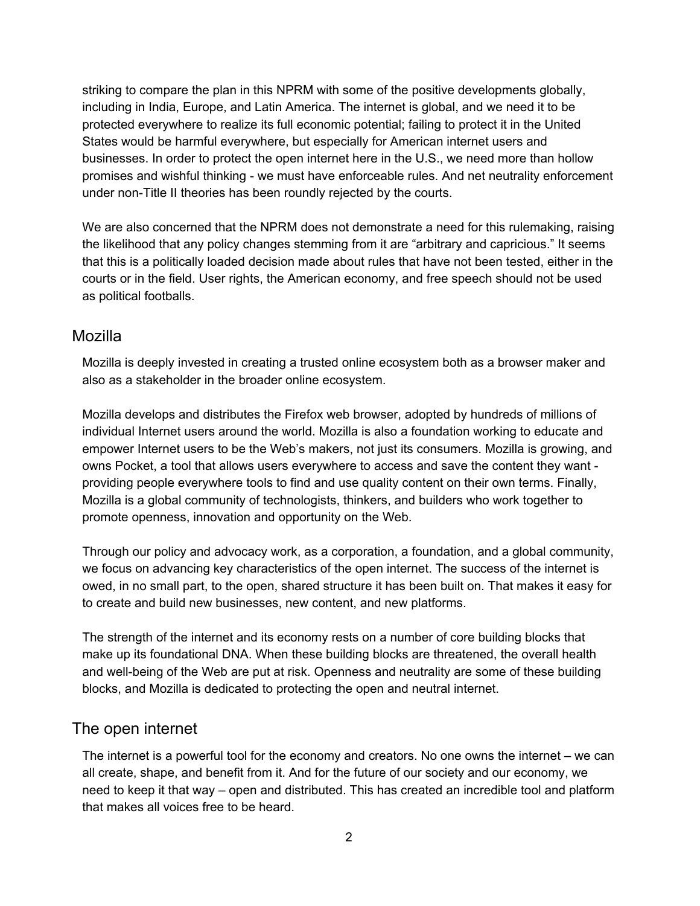striking to compare the plan in this NPRM with some of the positive developments globally, including in India, Europe, and Latin America. The internet is global, and we need it to be protected everywhere to realize its full economic potential; failing to protect it in the United States would be harmful everywhere, but especially for American internet users and businesses. In order to protect the open internet here in the U.S., we need more than hollow promises and wishful thinking - we must have enforceable rules. And net neutrality enforcement under non-Title II theories has been roundly rejected by the courts.

We are also concerned that the NPRM does not demonstrate a need for this rulemaking, raising the likelihood that any policy changes stemming from it are "arbitrary and capricious." It seems that this is a politically loaded decision made about rules that have not been tested, either in the courts or in the field. User rights, the American economy, and free speech should not be used as political footballs.

#### <span id="page-1-1"></span>Mozilla

Mozilla is deeply invested in creating a trusted online ecosystem both as a browser maker and also as a stakeholder in the broader online ecosystem.

Mozilla develops and distributes the Firefox web browser, adopted by hundreds of millions of individual Internet users around the world. Mozilla is also a foundation working to educate and empower Internet users to be the Web's makers, not just its consumers. Mozilla is growing, and owns Pocket, a tool that allows users everywhere to access and save the content they want providing people everywhere tools to find and use quality content on their own terms. Finally, Mozilla is a global community of technologists, thinkers, and builders who work together to promote openness, innovation and opportunity on the Web.

Through our policy and advocacy work, as a corporation, a foundation, and a global community, we focus on advancing key characteristics of the open internet. The success of the internet is owed, in no small part, to the open, shared structure it has been built on. That makes it easy for to create and build new businesses, new content, and new platforms.

The strength of the internet and its economy rests on a number of core building blocks that make up its foundational DNA. When these building blocks are threatened, the overall health and well-being of the Web are put at risk. Openness and neutrality are some of these building blocks, and Mozilla is dedicated to protecting the open and neutral internet.

#### <span id="page-1-0"></span>The open internet

The internet is a powerful tool for the economy and creators. No one owns the internet – we can all create, shape, and benefit from it. And for the future of our society and our economy, we need to keep it that way – open and distributed. This has created an incredible tool and platform that makes all voices free to be heard.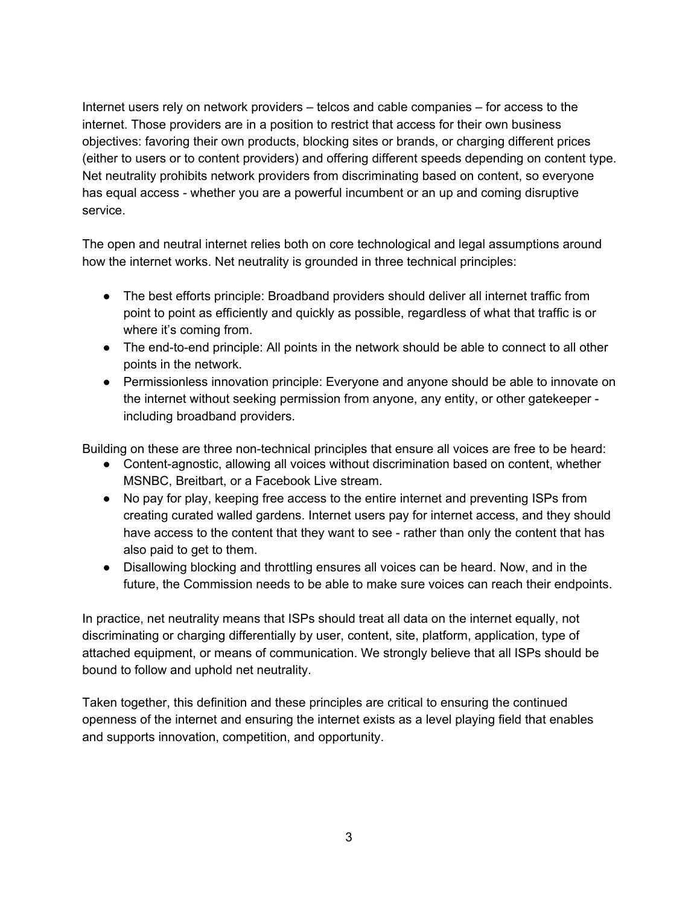Internet users rely on network providers – telcos and cable companies – for access to the internet. Those providers are in a position to restrict that access for their own business objectives: favoring their own products, blocking sites or brands, or charging different prices (either to users or to content providers) and offering different speeds depending on content type. Net neutrality prohibits network providers from discriminating based on content, so everyone has equal access - whether you are a powerful incumbent or an up and coming disruptive service.

The open and neutral internet relies both on core technological and legal assumptions around how the internet works. Net neutrality is grounded in three technical principles:

- The best efforts principle: Broadband providers should deliver all internet traffic from point to point as efficiently and quickly as possible, regardless of what that traffic is or where it's coming from.
- The end-to-end principle: All points in the network should be able to connect to all other points in the network.
- Permissionless innovation principle: Everyone and anyone should be able to innovate on the internet without seeking permission from anyone, any entity, or other gatekeeper including broadband providers.

Building on these are three non-technical principles that ensure all voices are free to be heard:

- Content-agnostic, allowing all voices without discrimination based on content, whether MSNBC, Breitbart, or a Facebook Live stream.
- No pay for play, keeping free access to the entire internet and preventing ISPs from creating curated walled gardens. Internet users pay for internet access, and they should have access to the content that they want to see - rather than only the content that has also paid to get to them.
- Disallowing blocking and throttling ensures all voices can be heard. Now, and in the future, the Commission needs to be able to make sure voices can reach their endpoints.

In practice, net neutrality means that ISPs should treat all data on the internet equally, not discriminating or charging differentially by user, content, site, platform, application, type of attached equipment, or means of communication. We strongly believe that all ISPs should be bound to follow and uphold net neutrality.

Taken together, this definition and these principles are critical to ensuring the continued openness of the internet and ensuring the internet exists as a level playing field that enables and supports innovation, competition, and opportunity.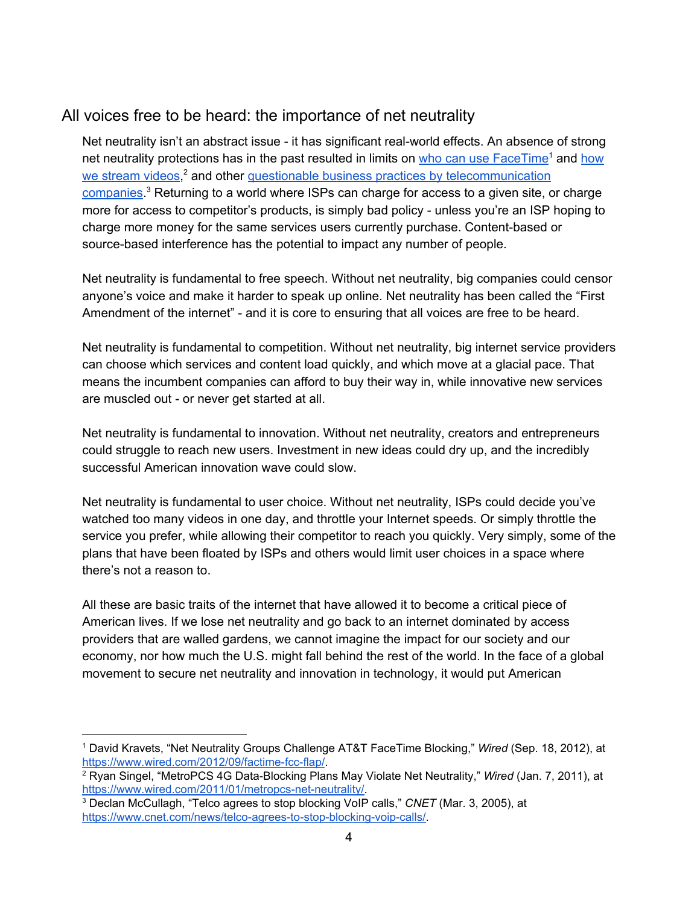# <span id="page-3-0"></span>All voices free to be heard: the importance of net neutrality

Net neutrality isn't an abstract issue - it has significant real-world effects. An absence of strong net neutrality protections has in the past resulted in limits on who can use [FaceTime](https://www.wired.com/2012/09/factime-fcc-flap/)<sup>1</sup> and [how](https://www.wired.com/2011/01/metropcs-net-neutrality/#seealso4caf81f8cdb49bca77d1d89d25ba3015) we [stream](https://www.wired.com/2011/01/metropcs-net-neutrality/#seealso4caf81f8cdb49bca77d1d89d25ba3015) videos,<sup>2</sup> and other questionable business practices by [telecommunication](https://www.cnet.com/news/telco-agrees-to-stop-blocking-voip-calls/) [companies](https://www.cnet.com/news/telco-agrees-to-stop-blocking-voip-calls/).<sup>3</sup> Returning to a world where ISPs can charge for access to a given site, or charge more for access to competitor's products, is simply bad policy - unless you're an ISP hoping to charge more money for the same services users currently purchase. Content-based or source-based interference has the potential to impact any number of people.

Net neutrality is fundamental to free speech. Without net neutrality, big companies could censor anyone's voice and make it harder to speak up online. Net neutrality has been called the "First Amendment of the internet" - and it is core to ensuring that all voices are free to be heard.

Net neutrality is fundamental to competition. Without net neutrality, big internet service providers can choose which services and content load quickly, and which move at a glacial pace. That means the incumbent companies can afford to buy their way in, while innovative new services are muscled out - or never get started at all.

Net neutrality is fundamental to innovation. Without net neutrality, creators and entrepreneurs could struggle to reach new users. Investment in new ideas could dry up, and the incredibly successful American innovation wave could slow.

Net neutrality is fundamental to user choice. Without net neutrality, ISPs could decide you've watched too many videos in one day, and throttle your Internet speeds. Or simply throttle the service you prefer, while allowing their competitor to reach you quickly. Very simply, some of the plans that have been floated by ISPs and others would limit user choices in a space where there's not a reason to.

All these are basic traits of the internet that have allowed it to become a critical piece of American lives. If we lose net neutrality and go back to an internet dominated by access providers that are walled gardens, we cannot imagine the impact for our society and our economy, nor how much the U.S. might fall behind the rest of the world. In the face of a global movement to secure net neutrality and innovation in technology, it would put American

<sup>1</sup> David Kravets, "Net Neutrality Groups Challenge AT&T FaceTime Blocking," *Wired* (Sep. 18, 2012), at <https://www.wired.com/2012/09/factime-fcc-flap/>.

<sup>2</sup> Ryan Singel, "MetroPCS 4G Data-Blocking Plans May Violate Net Neutrality," *Wired* (Jan. 7, 2011), at [https://www.wired.com/2011/01/metropcs-net-neutrality/.](https://www.wired.com/2011/01/metropcs-net-neutrality/)

<sup>3</sup> Declan McCullagh, "Telco agrees to stop blocking VoIP calls," *CNET* (Mar. 3, 2005), at [https://www.cnet.com/news/telco-agrees-to-stop-blocking-voip-calls/.](https://www.cnet.com/news/telco-agrees-to-stop-blocking-voip-calls/)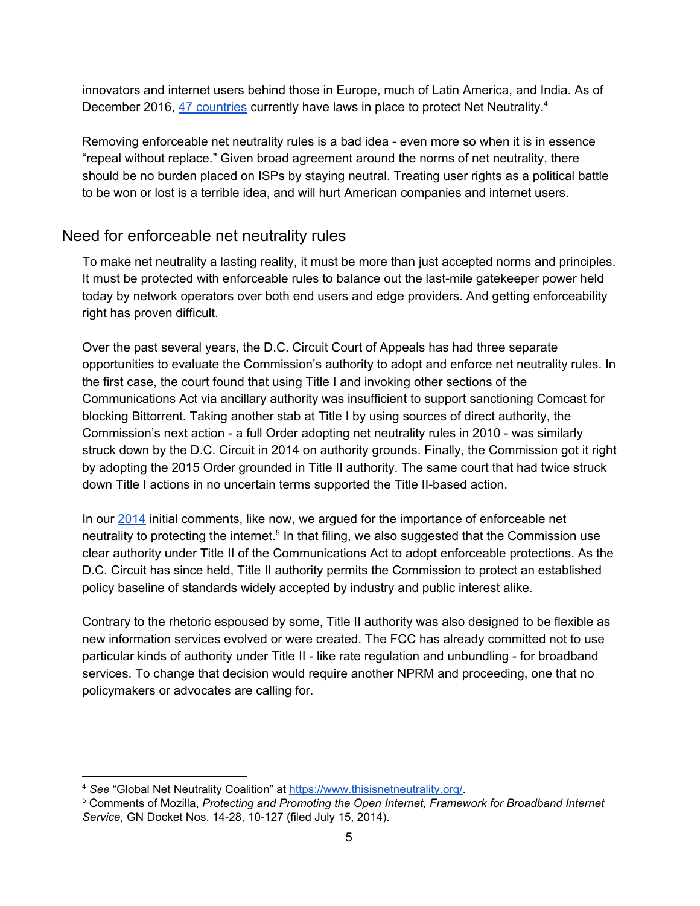innovators and internet users behind those in Europe, much of Latin America, and India. As of December 2016, 47 [countries](https://www.thisisnetneutrality.org/) currently have laws in place to protect Net Neutrality.<sup>4</sup>

Removing enforceable net neutrality rules is a bad idea - even more so when it is in essence "repeal without replace." Given broad agreement around the norms of net neutrality, there should be no burden placed on ISPs by staying neutral. Treating user rights as a political battle to be won or lost is a terrible idea, and will hurt American companies and internet users.

# <span id="page-4-0"></span>Need for enforceable net neutrality rules

To make net neutrality a lasting reality, it must be more than just accepted norms and principles. It must be protected with enforceable rules to balance out the last-mile gatekeeper power held today by network operators over both end users and edge providers. And getting enforceability right has proven difficult.

Over the past several years, the D.C. Circuit Court of Appeals has had three separate opportunities to evaluate the Commission's authority to adopt and enforce net neutrality rules. In the first case, the court found that using Title I and invoking other sections of the Communications Act via ancillary authority was insufficient to support sanctioning Comcast for blocking Bittorrent. Taking another stab at Title I by using sources of direct authority, the Commission's next action - a full Order adopting net neutrality rules in 2010 - was similarly struck down by the D.C. Circuit in 2014 on authority grounds. Finally, the Commission got it right by adopting the 2015 Order grounded in Title II authority. The same court that had twice struck down Title I actions in no uncertain terms supported the Title II-based action.

In our [2014](https://ecfsapi.fcc.gov/file/7521479935.pdf) initial comments, like now, we argued for the importance of enforceable net neutrality to protecting the internet.<sup>5</sup> In that filing, we also suggested that the Commission use clear authority under Title II of the Communications Act to adopt enforceable protections. As the D.C. Circuit has since held, Title II authority permits the Commission to protect an established policy baseline of standards widely accepted by industry and public interest alike.

Contrary to the rhetoric espoused by some, Title II authority was also designed to be flexible as new information services evolved or were created. The FCC has already committed not to use particular kinds of authority under Title II - like rate regulation and unbundling - for broadband services. To change that decision would require another NPRM and proceeding, one that no policymakers or advocates are calling for.

<sup>4</sup> *See* "Global Net Neutrality Coalition" at [https://www.thisisnetneutrality.org/.](https://www.thisisnetneutrality.org/)

<sup>5</sup> Comments of Mozilla, *Protecting and Promoting the Open Internet, Framework for Broadband Internet Service*, GN Docket Nos. 14-28, 10-127 (filed July 15, 2014).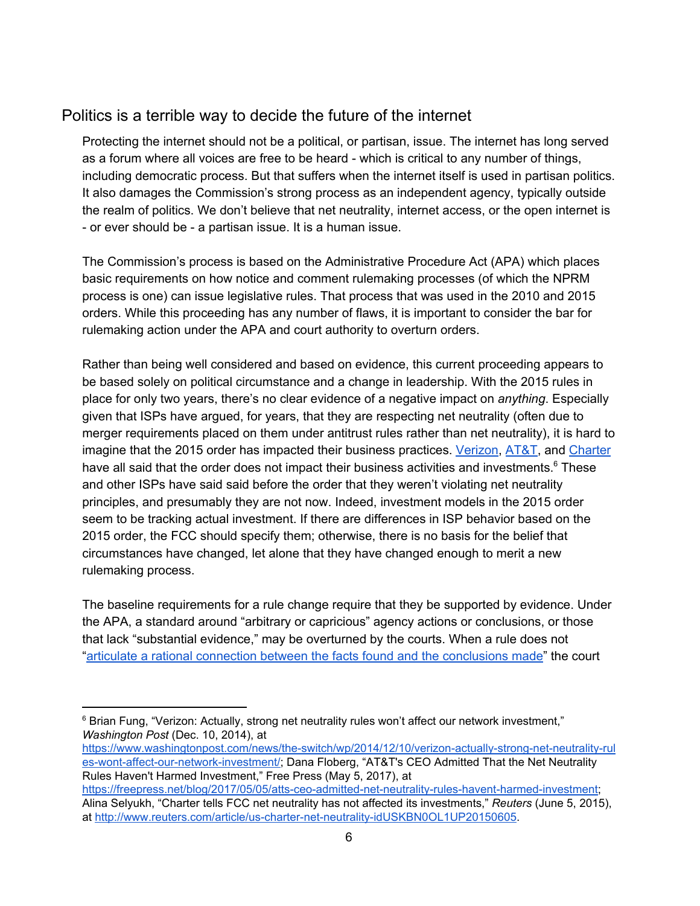# <span id="page-5-0"></span>Politics is a terrible way to decide the future of the internet

Protecting the internet should not be a political, or partisan, issue. The internet has long served as a forum where all voices are free to be heard - which is critical to any number of things, including democratic process. But that suffers when the internet itself is used in partisan politics. It also damages the Commission's strong process as an independent agency, typically outside the realm of politics. We don't believe that net neutrality, internet access, or the open internet is - or ever should be - a partisan issue. It is a human issue.

The Commission's process is based on the Administrative Procedure Act (APA) which places basic requirements on how notice and comment rulemaking processes (of which the NPRM process is one) can issue legislative rules. That process that was used in the 2010 and 2015 orders. While this proceeding has any number of flaws, it is important to consider the bar for rulemaking action under the APA and court authority to overturn orders.

Rather than being well considered and based on evidence, this current proceeding appears to be based solely on political circumstance and a change in leadership. With the 2015 rules in place for only two years, there's no clear evidence of a negative impact on *anything*. Especially given that ISPs have argued, for years, that they are respecting net neutrality (often due to merger requirements placed on them under antitrust rules rather than net neutrality), it is hard to imagine that the 2015 order has impacted their business practices. [Verizon](https://www.washingtonpost.com/news/the-switch/wp/2014/12/10/verizon-actually-strong-net-neutrality-rules-wont-affect-our-network-investment/?utm_term=.335072baea28), [AT&T,](https://www.freepress.net/blog/2017/05/05/atts-ceo-admitted-net-neutrality-rules-havent-harmed-investment) and [Charter](http://www.reuters.com/article/us-charter-net-neutrality-idUSKBN0OL1UP20150605) have all said that the order does not impact their business activities and investments.<sup>6</sup> These and other ISPs have said said before the order that they weren't violating net neutrality principles, and presumably they are not now. Indeed, investment models in the 2015 order seem to be tracking actual investment. If there are differences in ISP behavior based on the 2015 order, the FCC should specify them; otherwise, there is no basis for the belief that circumstances have changed, let alone that they have changed enough to merit a new rulemaking process.

The baseline requirements for a rule change require that they be supported by evidence. Under the APA, a standard around "arbitrary or capricious" agency actions or conclusions, or those that lack "substantial evidence," may be overturned by the courts. When a rule does not "articulate a rational connection between the facts found and the [conclusions](http://cdn.ca9.uscourts.gov/datastore/uploads/guides/stand_of_review/IV_Review_AD.html) made" the court

[https://www.washingtonpost.com/news/the-switch/wp/2014/12/10/verizon-actually-strong-net-neutrality-rul](https://www.washingtonpost.com/news/the-switch/wp/2014/12/10/verizon-actually-strong-net-neutrality-rules-wont-affect-our-network-investment/) [es-wont-affect-our-network-investment/;](https://www.washingtonpost.com/news/the-switch/wp/2014/12/10/verizon-actually-strong-net-neutrality-rules-wont-affect-our-network-investment/) Dana Floberg, "AT&T's CEO Admitted That the Net Neutrality Rules Haven't Harmed Investment," Free Press (May 5, 2017), at

<sup>&</sup>lt;sup>6</sup> Brian Fung, "Verizon: Actually, strong net neutrality rules won't affect our network investment," *Washington Post* (Dec. 10, 2014), at

[https://freepress.net/blog/2017/05/05/atts-ceo-admitted-net-neutrality-rules-havent-harmed-investment;](https://www.freepress.net/blog/2017/05/05/atts-ceo-admitted-net-neutrality-rules-havent-harmed-investment) Alina Selyukh, "Charter tells FCC net neutrality has not affected its investments," *Reuters* (June 5, 2015), at <http://www.reuters.com/article/us-charter-net-neutrality-idUSKBN0OL1UP20150605>.